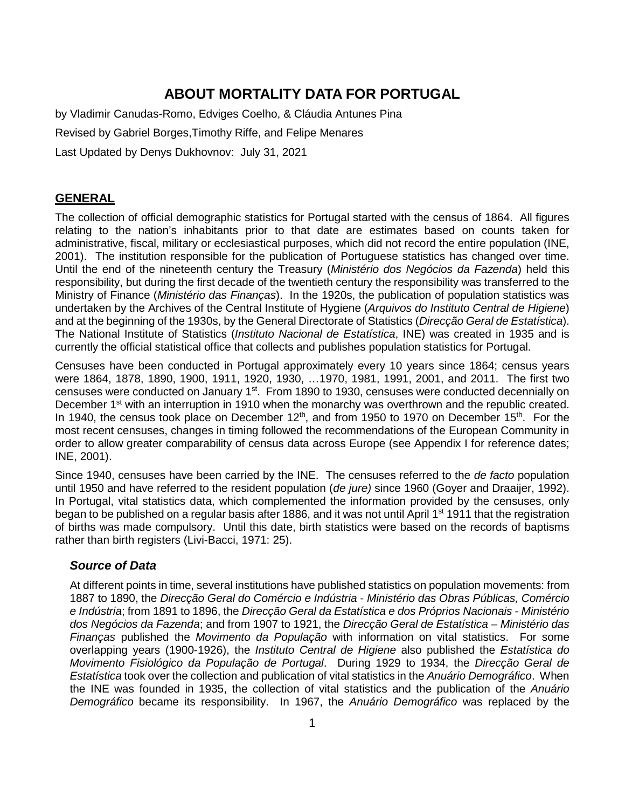# **ABOUT MORTALITY DATA FOR PORTUGAL**

by Vladimir Canudas-Romo, Edviges Coelho, & Cláudia Antunes Pina Revised by Gabriel Borges,Timothy Riffe, and Felipe Menares Last Updated by Denys Dukhovnov: July 31, 2021

### **GENERAL**

The collection of official demographic statistics for Portugal started with the census of 1864. All figures relating to the nation's inhabitants prior to that date are estimates based on counts taken for administrative, fiscal, military or ecclesiastical purposes, which did not record the entire population (INE, 2001). The institution responsible for the publication of Portuguese statistics has changed over time. Until the end of the nineteenth century the Treasury (*Ministério dos Negócios da Fazenda*) held this responsibility, but during the first decade of the twentieth century the responsibility was transferred to the Ministry of Finance (*Ministério das Finanças*). In the 1920s, the publication of population statistics was undertaken by the Archives of the Central Institute of Hygiene (*Arquivos do Instituto Central de Higiene*) and at the beginning of the 1930s, by the General Directorate of Statistics (*Direcção Geral de Estatística*). The National Institute of Statistics (*Instituto Nacional de Estatística*, INE) was created in 1935 and is currently the official statistical office that collects and publishes population statistics for Portugal.

Censuses have been conducted in Portugal approximately every 10 years since 1864; census years were 1864, 1878, 1890, 1900, 1911, 1920, 1930, …1970, 1981, 1991, 2001, and 2011. The first two censuses were conducted on January  $1<sup>st</sup>$ . From 1890 to 1930, censuses were conducted decennially on December 1<sup>st</sup> with an interruption in 1910 when the monarchy was overthrown and the republic created. In 1940, the census took place on December  $12<sup>th</sup>$ , and from 1950 to 1970 on December 15<sup>th</sup>. For the most recent censuses, changes in timing followed the recommendations of the European Community in order to allow greater comparability of census data across Europe (see Appendix I for reference dates; INE, 2001).

Since 1940, censuses have been carried by the INE. The censuses referred to the *de facto* population until 1950 and have referred to the resident population (*de jure)* since 1960 (Goyer and Draaijer, 1992). In Portugal, vital statistics data, which complemented the information provided by the censuses, only began to be published on a regular basis after 1886, and it was not until April 1<sup>st</sup> 1911 that the registration of births was made compulsory. Until this date, birth statistics were based on the records of baptisms rather than birth registers (Livi-Bacci, 1971: 25).

### *Source of Data*

At different points in time, several institutions have published statistics on population movements: from 1887 to 1890, the *Direcção Geral do Comércio e Indústria* - *Ministério das Obras Públicas, Comércio e Indústria*; from 1891 to 1896, the *Direcção Geral da Estatística e dos Próprios Nacionais* - *Ministério dos Negócios da Fazenda*; and from 1907 to 1921, the *Direcção Geral de Estatística* – *Ministério das Finanças* published the *Movimento da População* with information on vital statistics. For some overlapping years (1900-1926), the *Instituto Central de Higiene* also published the *Estatística do Movimento Fisiológico da População de Portugal*. During 1929 to 1934, the *Direcção Geral de Estatística* took over the collection and publication of vital statistics in the *Anuário Demográfico*. When the INE was founded in 1935, the collection of vital statistics and the publication of the *Anuário Demográfico* became its responsibility. In 1967, the *Anuário Demográfico* was replaced by the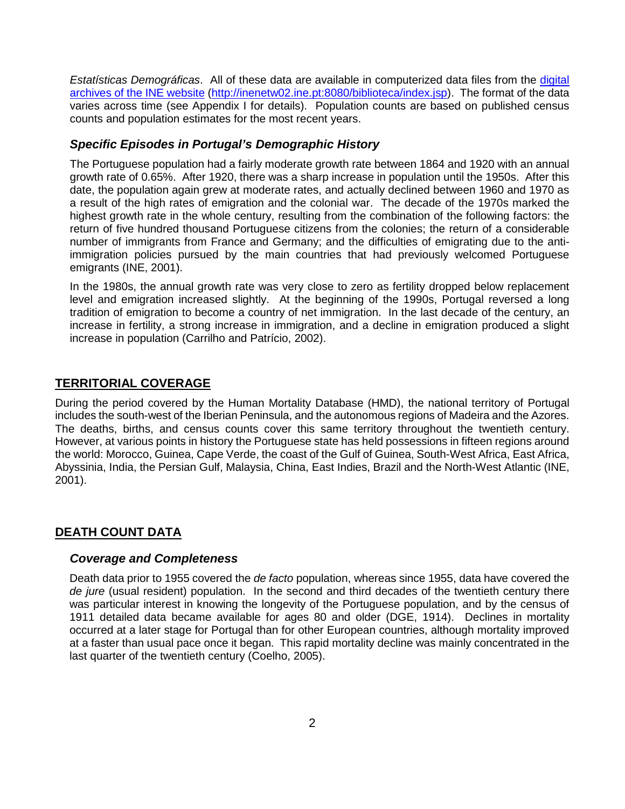*Estatísticas Demográficas*. All of these data are available in computerized data files from the [digital](http://inenetw02.ine.pt:8080/biblioteca/logon.do;jsessionid=D587242FAE794972320A0CA4531F0693)  [archives of the INE website](http://inenetw02.ine.pt:8080/biblioteca/logon.do;jsessionid=D587242FAE794972320A0CA4531F0693) [\(http://inenetw02.ine.pt:8080/biblioteca/index.jsp\)](http://inenetw02.ine.pt:8080/biblioteca/index.jsp). The format of the data varies across time (see Appendix I for details). Population counts are based on published census counts and population estimates for the most recent years.

#### *Specific Episodes in Portugal's Demographic History*

The Portuguese population had a fairly moderate growth rate between 1864 and 1920 with an annual growth rate of 0.65%. After 1920, there was a sharp increase in population until the 1950s. After this date, the population again grew at moderate rates, and actually declined between 1960 and 1970 as a result of the high rates of emigration and the colonial war. The decade of the 1970s marked the highest growth rate in the whole century, resulting from the combination of the following factors: the return of five hundred thousand Portuguese citizens from the colonies; the return of a considerable number of immigrants from France and Germany; and the difficulties of emigrating due to the antiimmigration policies pursued by the main countries that had previously welcomed Portuguese emigrants (INE, 2001).

In the 1980s, the annual growth rate was very close to zero as fertility dropped below replacement level and emigration increased slightly. At the beginning of the 1990s, Portugal reversed a long tradition of emigration to become a country of net immigration. In the last decade of the century, an increase in fertility, a strong increase in immigration, and a decline in emigration produced a slight increase in population (Carrilho and Patrício, 2002).

### **TERRITORIAL COVERAGE**

During the period covered by the Human Mortality Database (HMD), the national territory of Portugal includes the south-west of the Iberian Peninsula, and the autonomous regions of Madeira and the Azores. The deaths, births, and census counts cover this same territory throughout the twentieth century. However, at various points in history the Portuguese state has held possessions in fifteen regions around the world: Morocco, Guinea, Cape Verde, the coast of the Gulf of Guinea, South-West Africa, East Africa, Abyssinia, India, the Persian Gulf, Malaysia, China, East Indies, Brazil and the North-West Atlantic (INE, 2001).

#### **DEATH COUNT DATA**

#### *Coverage and Completeness*

Death data prior to 1955 covered the *de facto* population, whereas since 1955, data have covered the *de jure* (usual resident) population. In the second and third decades of the twentieth century there was particular interest in knowing the longevity of the Portuguese population, and by the census of 1911 detailed data became available for ages 80 and older (DGE, 1914). Declines in mortality occurred at a later stage for Portugal than for other European countries, although mortality improved at a faster than usual pace once it began. This rapid mortality decline was mainly concentrated in the last quarter of the twentieth century (Coelho, 2005).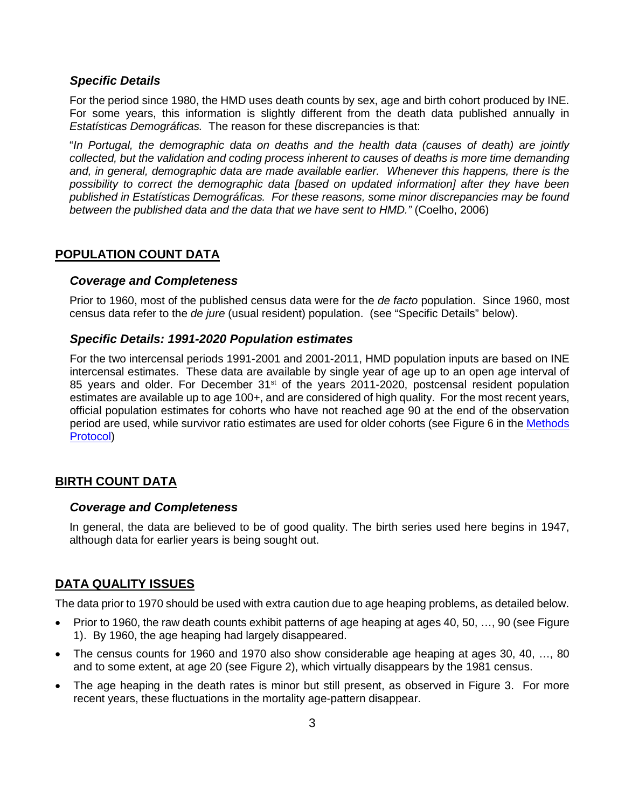#### *Specific Details*

For the period since 1980, the HMD uses death counts by sex, age and birth cohort produced by INE. For some years, this information is slightly different from the death data published annually in *Estatísticas Demográficas.* The reason for these discrepancies is that:

"*In Portugal, the demographic data on deaths and the health data (causes of death) are jointly collected, but the validation and coding process inherent to causes of deaths is more time demanding and, in general, demographic data are made available earlier. Whenever this happens, there is the possibility to correct the demographic data [based on updated information] after they have been published in Estatísticas Demográficas. For these reasons, some minor discrepancies may be found between the published data and the data that we have sent to HMD."* (Coelho, 2006)

### **POPULATION COUNT DATA**

#### *Coverage and Completeness*

Prior to 1960, most of the published census data were for the *de facto* population. Since 1960, most census data refer to the *de jure* (usual resident) population. (see "Specific Details" below).

#### *Specific Details: 1991-2020 Population estimates*

For the two intercensal periods 1991-2001 and 2001-2011, HMD population inputs are based on INE intercensal estimates. These data are available by single year of age up to an open age interval of 85 years and older. For December 31<sup>st</sup> of the years 2011-2020, postcensal resident population estimates are available up to age 100+, and are considered of high quality. For the most recent years, official population estimates for cohorts who have not reached age 90 at the end of the observation period are used, while survivor ratio estimates are used for older cohorts (see Figure 6 in the [Methods](http://www.mortality.org/Public/Docs/MethodsProtocol.pdf)  [Protocol\)](http://www.mortality.org/Public/Docs/MethodsProtocol.pdf)

### **BIRTH COUNT DATA**

#### *Coverage and Completeness*

In general, the data are believed to be of good quality. The birth series used here begins in 1947, although data for earlier years is being sought out.

### **DATA QUALITY ISSUES**

The data prior to 1970 should be used with extra caution due to age heaping problems, as detailed below.

- Prior to 1960, the raw death counts exhibit patterns of age heaping at ages 40, 50, …, 90 (see Figure 1). By 1960, the age heaping had largely disappeared.
- The census counts for 1960 and 1970 also show considerable age heaping at ages 30, 40, …, 80 and to some extent, at age 20 (see Figure 2), which virtually disappears by the 1981 census.
- The age heaping in the death rates is minor but still present, as observed in Figure 3. For more recent years, these fluctuations in the mortality age-pattern disappear.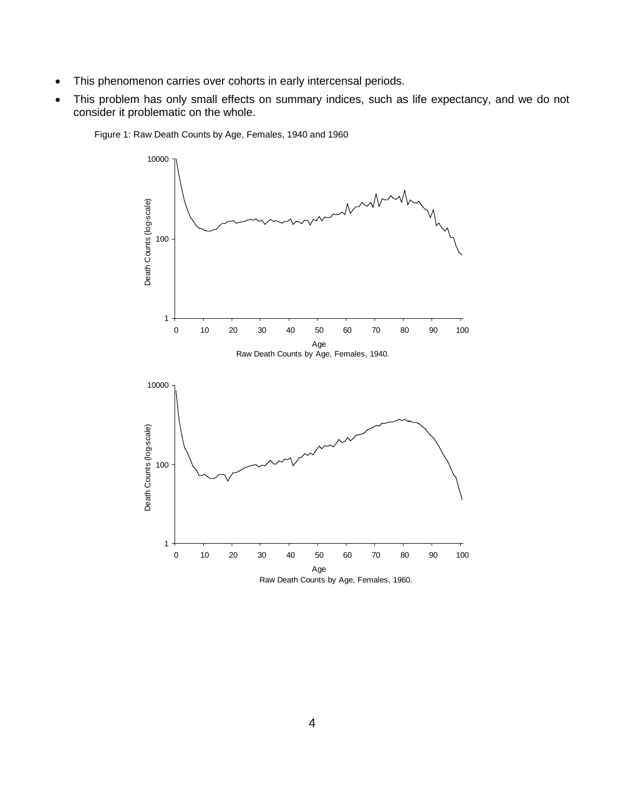- This phenomenon carries over cohorts in early intercensal periods.
- This problem has only small effects on summary indices, such as life expectancy, and we do not consider it problematic on the whole.



Figure 1: Raw Death Counts by Age, Females, 1940 and 1960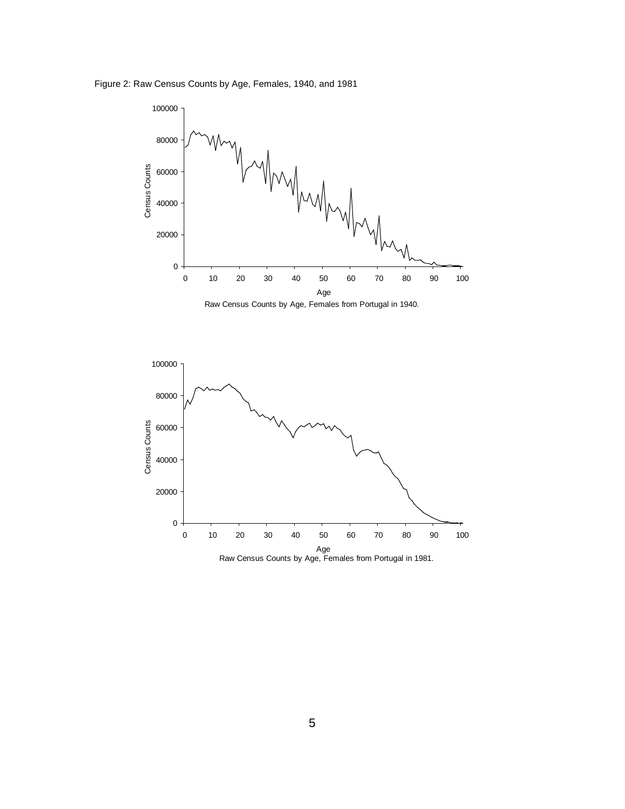Figure 2: Raw Census Counts by Age, Females, 1940, and 1981



Raw Census Counts by Age, Females from Portugal in 1940.

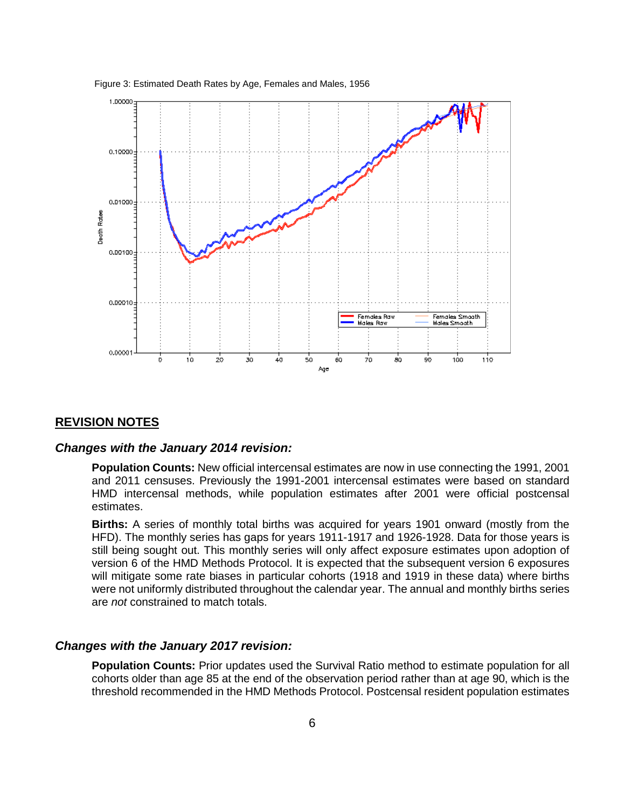

Figure 3: Estimated Death Rates by Age, Females and Males, 1956

### **REVISION NOTES**

#### *Changes with the January 2014 revision:*

**Population Counts:** New official intercensal estimates are now in use connecting the 1991, 2001 and 2011 censuses. Previously the 1991-2001 intercensal estimates were based on standard HMD intercensal methods, while population estimates after 2001 were official postcensal estimates.

**Births:** A series of monthly total births was acquired for years 1901 onward (mostly from the HFD). The monthly series has gaps for years 1911-1917 and 1926-1928. Data for those years is still being sought out. This monthly series will only affect exposure estimates upon adoption of version 6 of the HMD Methods Protocol. It is expected that the subsequent version 6 exposures will mitigate some rate biases in particular cohorts (1918 and 1919 in these data) where births were not uniformly distributed throughout the calendar year. The annual and monthly births series are *not* constrained to match totals.

#### *Changes with the January 2017 revision:*

**Population Counts:** Prior updates used the Survival Ratio method to estimate population for all cohorts older than age 85 at the end of the observation period rather than at age 90, which is the threshold recommended in the HMD Methods Protocol. Postcensal resident population estimates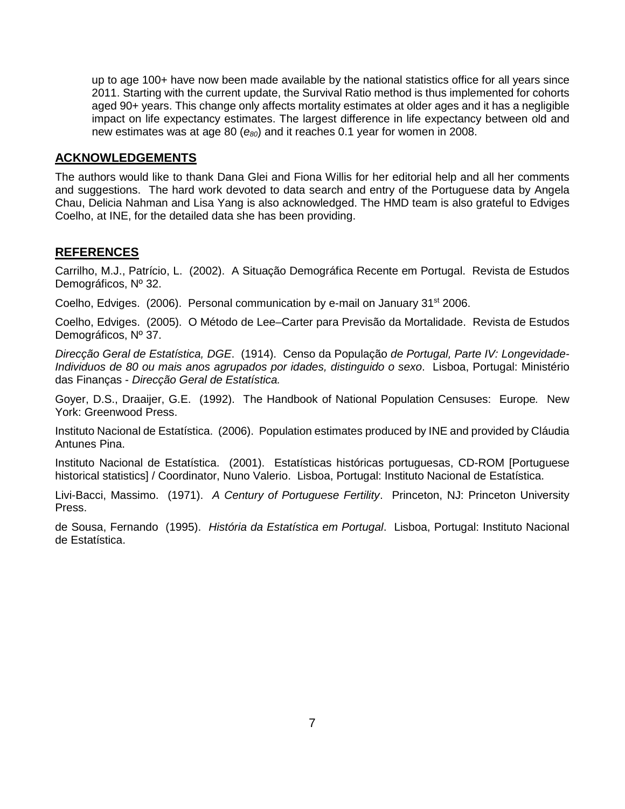up to age 100+ have now been made available by the national statistics office for all years since 2011. Starting with the current update, the Survival Ratio method is thus implemented for cohorts aged 90+ years. This change only affects mortality estimates at older ages and it has a negligible impact on life expectancy estimates. The largest difference in life expectancy between old and new estimates was at age 80 (*e80*) and it reaches 0.1 year for women in 2008.

#### **ACKNOWLEDGEMENTS**

The authors would like to thank Dana Glei and Fiona Willis for her editorial help and all her comments and suggestions. The hard work devoted to data search and entry of the Portuguese data by Angela Chau, Delicia Nahman and Lisa Yang is also acknowledged. The HMD team is also grateful to Edviges Coelho, at INE, for the detailed data she has been providing.

### **REFERENCES**

Carrilho, M.J., Patrício, L. (2002). A Situação Demográfica Recente em Portugal. Revista de Estudos Demográficos, Nº 32.

Coelho, Edviges. (2006). Personal communication by e-mail on January 31<sup>st</sup> 2006.

Coelho, Edviges. (2005). O Método de Lee–Carter para Previsão da Mortalidade. Revista de Estudos Demográficos, Nº 37.

*Direcção Geral de Estatística, DGE*. (1914). Censo da População *de Portugal, Parte IV: Longevidade-Individuos de 80 ou mais anos agrupados por idades, distinguido o sexo*. Lisboa, Portugal: Ministério das Finanças - *Direcção Geral de Estatística.*

Goyer, D.S., Draaijer, G.E. (1992). The Handbook of National Population Censuses: Europe*.* New York: Greenwood Press.

Instituto Nacional de Estatística. (2006). Population estimates produced by INE and provided by Cláudia Antunes Pina.

Instituto Nacional de Estatística. (2001). Estatísticas históricas portuguesas, CD-ROM [Portuguese historical statistics] / Coordinator, Nuno Valerio. Lisboa, Portugal: Instituto Nacional de Estatística.

Livi-Bacci, Massimo. (1971). *A Century of Portuguese Fertility*. Princeton, NJ: Princeton University Press.

de Sousa, Fernando (1995). *História da Estatística em Portugal*. Lisboa, Portugal: Instituto Nacional de Estatística.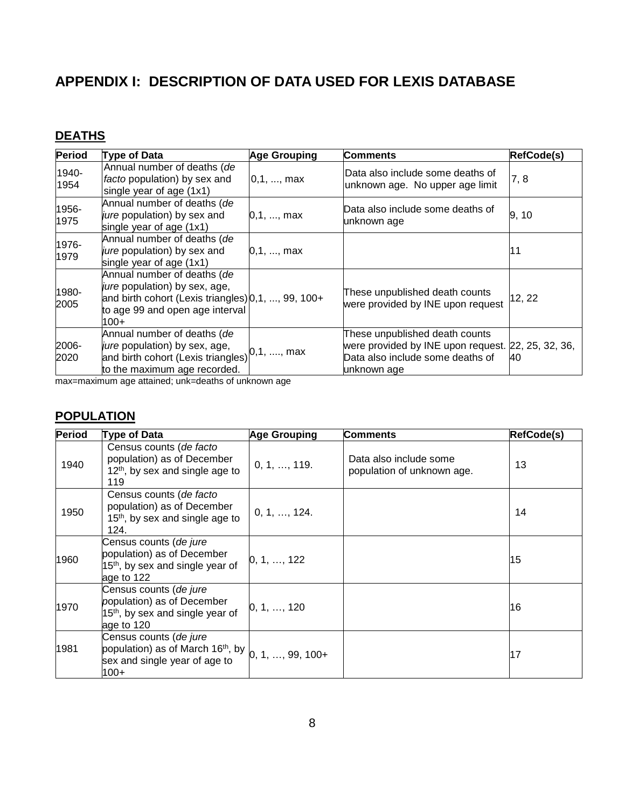# **APPENDIX I: DESCRIPTION OF DATA USED FOR LEXIS DATABASE**

# **DEATHS**

| Period        | Type of Data                                                                                                                                                              | <b>Age Grouping</b> | <b>Comments</b>                                                                                                                         | RefCode(s) |
|---------------|---------------------------------------------------------------------------------------------------------------------------------------------------------------------------|---------------------|-----------------------------------------------------------------------------------------------------------------------------------------|------------|
| 1940-<br>1954 | Annual number of deaths (de<br>facto population) by sex and<br>single year of age (1x1)                                                                                   | [0,1, , max]        | Data also include some deaths of<br>unknown age. No upper age limit                                                                     | 7, 8       |
| 1956-<br>1975 | Annual number of deaths (de<br>jure population) by sex and<br>single year of age (1x1)                                                                                    | 0.1, , max          | Data also include some deaths of<br>unknown age                                                                                         | 9, 10      |
| 1976-<br>1979 | Annual number of deaths (de<br>jure population) by sex and<br>single year of age (1x1)                                                                                    | 0.1, , max          |                                                                                                                                         | l1 1       |
| 1980-<br>2005 | Annual number of deaths (de<br><i>jure</i> population) by sex, age,<br>and birth cohort (Lexis triangles) $[0,1, , 99, 100+$<br>to age 99 and open age interval<br>$100+$ |                     | These unpublished death counts<br>were provided by INE upon request                                                                     | 12, 22     |
| 2006-<br>2020 | Annual number of deaths (de<br><i>jure</i> population) by sex, age,<br>and birth cohort (Lexis triangles)<br>to the maximum age recorded.                                 | $0,1, \, , \, max$  | These unpublished death counts<br>were provided by INE upon request. 22, 25, 32, 36,<br>Data also include some deaths of<br>unknown age | 40         |

max=maximum age attained; unk=deaths of unknown age

# **POPULATION**

| <b>Period</b> | Type of Data                                                                                                                                  | <b>Age Grouping</b> | <b>Comments</b>                                      | <b>RefCode(s)</b> |
|---------------|-----------------------------------------------------------------------------------------------------------------------------------------------|---------------------|------------------------------------------------------|-------------------|
| 1940          | Census counts (de facto<br>population) as of December<br>12 <sup>th</sup> , by sex and single age to<br>119                                   | 0, 1, , 119.        | Data also include some<br>population of unknown age. | 13                |
| 1950          | Census counts (de facto<br>population) as of December<br>$15th$ , by sex and single age to<br>124.                                            | 0, 1, , 124.        |                                                      | 14                |
| 1960          | Census counts (de jure<br>population) as of December<br>15 <sup>th</sup> , by sex and single year of<br>age to 122                            | 0, 1, , 122         |                                                      | 15                |
| 1970          | Census counts (de jure<br>population) as of December<br>15 <sup>th</sup> , by sex and single year of<br>age to 120                            | 0, 1, , 120         |                                                      | 16                |
| 1981          | Census counts (de jure<br>population) as of March 16 <sup>th</sup> , by $\vert_{0, 1, , 99, 100+}$<br>sex and single year of age to<br>$100+$ |                     |                                                      | 17                |